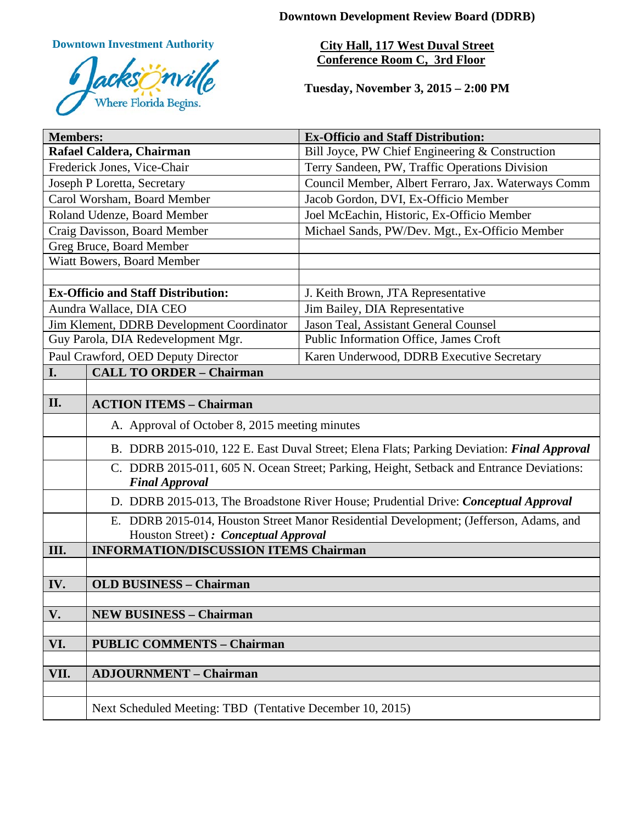**Downtown Development Review Board (DDRB)**

**Downtown Investment Authority**



**City Hall, 117 West Duval Street Conference Room C, 3rd Floor** 

**Tuesday, November 3, 2015 – 2:00 PM**

| <b>Members:</b>                           |                                                                                                                   | <b>Ex-Officio and Staff Distribution:</b>           |
|-------------------------------------------|-------------------------------------------------------------------------------------------------------------------|-----------------------------------------------------|
| Rafael Caldera, Chairman                  |                                                                                                                   | Bill Joyce, PW Chief Engineering & Construction     |
| Frederick Jones, Vice-Chair               |                                                                                                                   | Terry Sandeen, PW, Traffic Operations Division      |
| Joseph P Loretta, Secretary               |                                                                                                                   | Council Member, Albert Ferraro, Jax. Waterways Comm |
| Carol Worsham, Board Member               |                                                                                                                   | Jacob Gordon, DVI, Ex-Officio Member                |
| Roland Udenze, Board Member               |                                                                                                                   | Joel McEachin, Historic, Ex-Officio Member          |
| Craig Davisson, Board Member              |                                                                                                                   | Michael Sands, PW/Dev. Mgt., Ex-Officio Member      |
| Greg Bruce, Board Member                  |                                                                                                                   |                                                     |
| Wiatt Bowers, Board Member                |                                                                                                                   |                                                     |
|                                           |                                                                                                                   |                                                     |
| <b>Ex-Officio and Staff Distribution:</b> |                                                                                                                   | J. Keith Brown, JTA Representative                  |
| Aundra Wallace, DIA CEO                   |                                                                                                                   | Jim Bailey, DIA Representative                      |
| Jim Klement, DDRB Development Coordinator |                                                                                                                   | Jason Teal, Assistant General Counsel               |
| Guy Parola, DIA Redevelopment Mgr.        |                                                                                                                   | Public Information Office, James Croft              |
|                                           | Paul Crawford, OED Deputy Director                                                                                | Karen Underwood, DDRB Executive Secretary           |
| I.                                        | <b>CALL TO ORDER - Chairman</b>                                                                                   |                                                     |
|                                           |                                                                                                                   |                                                     |
| II.                                       | <b>ACTION ITEMS - Chairman</b>                                                                                    |                                                     |
|                                           | A. Approval of October 8, 2015 meeting minutes                                                                    |                                                     |
|                                           | B. DDRB 2015-010, 122 E. East Duval Street; Elena Flats; Parking Deviation: Final Approval                        |                                                     |
|                                           | C. DDRB 2015-011, 605 N. Ocean Street; Parking, Height, Setback and Entrance Deviations:<br><b>Final Approval</b> |                                                     |
|                                           | D. DDRB 2015-013, The Broadstone River House; Prudential Drive: Conceptual Approval                               |                                                     |
|                                           | E. DDRB 2015-014, Houston Street Manor Residential Development; (Jefferson, Adams, and                            |                                                     |
| III.                                      | Houston Street) : Conceptual Approval<br><b>INFORMATION/DISCUSSION ITEMS Chairman</b>                             |                                                     |
|                                           |                                                                                                                   |                                                     |
|                                           |                                                                                                                   |                                                     |
| IV.                                       | <b>OLD BUSINESS - Chairman</b>                                                                                    |                                                     |
| V.                                        | <b>NEW BUSINESS - Chairman</b>                                                                                    |                                                     |
|                                           |                                                                                                                   |                                                     |
| VI.                                       | <b>PUBLIC COMMENTS - Chairman</b>                                                                                 |                                                     |
|                                           |                                                                                                                   |                                                     |
| VII.                                      | <b>ADJOURNMENT - Chairman</b>                                                                                     |                                                     |
|                                           |                                                                                                                   |                                                     |
|                                           | Next Scheduled Meeting: TBD (Tentative December 10, 2015)                                                         |                                                     |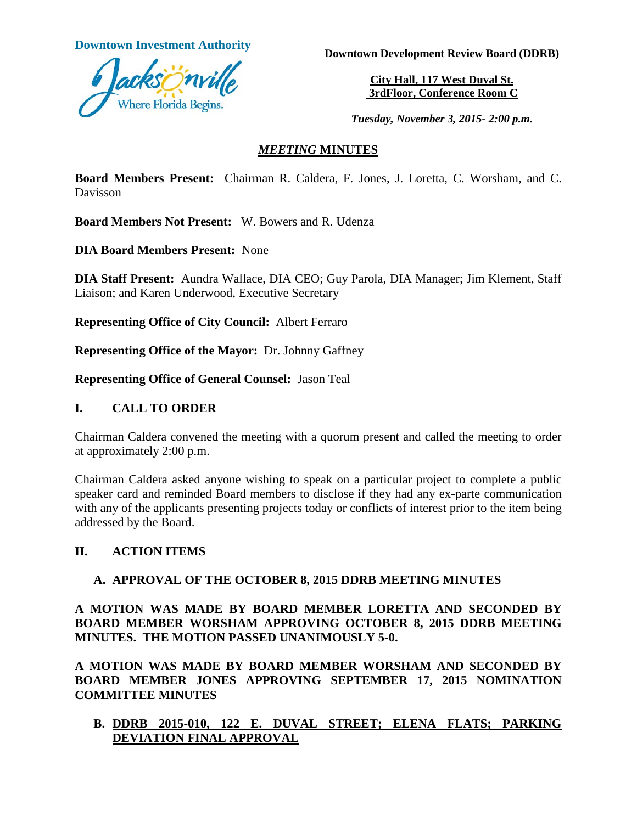

**Downtown Investment Authority Downtown Development Review Board (DDRB)** 

**City Hall, 117 West Duval St. 3rdFloor, Conference Room C**

*Tuesday, November 3, 2015- 2:00 p.m.*

#### *MEETING* **MINUTES**

**Board Members Present:** Chairman R. Caldera, F. Jones, J. Loretta, C. Worsham, and C. Davisson

**Board Members Not Present:** W. Bowers and R. Udenza

**DIA Board Members Present:** None

**DIA Staff Present:** Aundra Wallace, DIA CEO; Guy Parola, DIA Manager; Jim Klement, Staff Liaison; and Karen Underwood, Executive Secretary

**Representing Office of City Council:** Albert Ferraro

**Representing Office of the Mayor:** Dr. Johnny Gaffney

**Representing Office of General Counsel:** Jason Teal

#### **I. CALL TO ORDER**

Chairman Caldera convened the meeting with a quorum present and called the meeting to order at approximately 2:00 p.m.

Chairman Caldera asked anyone wishing to speak on a particular project to complete a public speaker card and reminded Board members to disclose if they had any ex-parte communication with any of the applicants presenting projects today or conflicts of interest prior to the item being addressed by the Board.

# **II. ACTION ITEMS**

# **A. APPROVAL OF THE OCTOBER 8, 2015 DDRB MEETING MINUTES**

**A MOTION WAS MADE BY BOARD MEMBER LORETTA AND SECONDED BY BOARD MEMBER WORSHAM APPROVING OCTOBER 8, 2015 DDRB MEETING MINUTES. THE MOTION PASSED UNANIMOUSLY 5-0.** 

**A MOTION WAS MADE BY BOARD MEMBER WORSHAM AND SECONDED BY BOARD MEMBER JONES APPROVING SEPTEMBER 17, 2015 NOMINATION COMMITTEE MINUTES** 

# **B. DDRB 2015-010, 122 E. DUVAL STREET; ELENA FLATS; PARKING DEVIATION FINAL APPROVAL**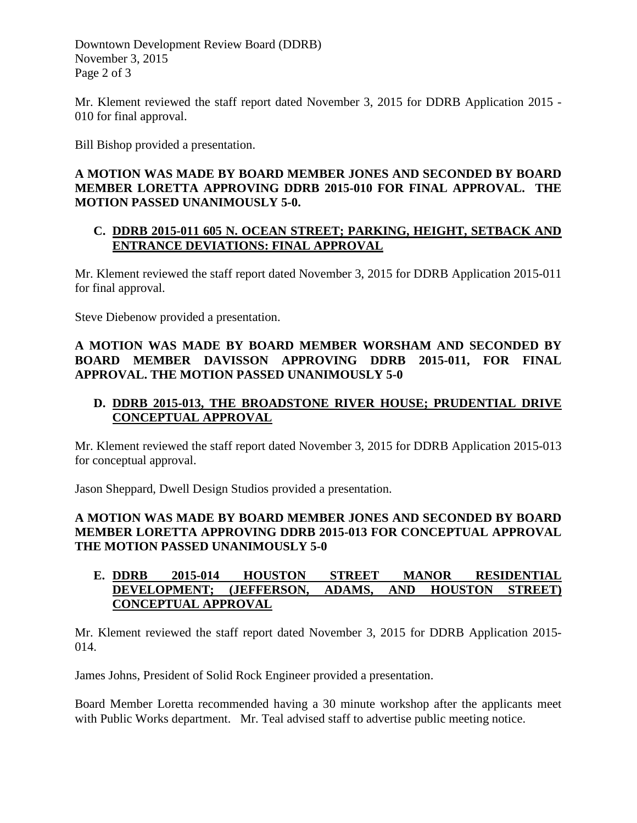Downtown Development Review Board (DDRB) November 3, 2015 Page 2 of 3

Mr. Klement reviewed the staff report dated November 3, 2015 for DDRB Application 2015 - 010 for final approval.

Bill Bishop provided a presentation.

#### **A MOTION WAS MADE BY BOARD MEMBER JONES AND SECONDED BY BOARD MEMBER LORETTA APPROVING DDRB 2015-010 FOR FINAL APPROVAL. THE MOTION PASSED UNANIMOUSLY 5-0.**

#### **C. DDRB 2015-011 605 N. OCEAN STREET; PARKING, HEIGHT, SETBACK AND ENTRANCE DEVIATIONS: FINAL APPROVAL**

Mr. Klement reviewed the staff report dated November 3, 2015 for DDRB Application 2015-011 for final approval.

Steve Diebenow provided a presentation.

# **A MOTION WAS MADE BY BOARD MEMBER WORSHAM AND SECONDED BY BOARD MEMBER DAVISSON APPROVING DDRB 2015-011, FOR FINAL APPROVAL. THE MOTION PASSED UNANIMOUSLY 5-0**

# **D. DDRB 2015-013, THE BROADSTONE RIVER HOUSE; PRUDENTIAL DRIVE CONCEPTUAL APPROVAL**

Mr. Klement reviewed the staff report dated November 3, 2015 for DDRB Application 2015-013 for conceptual approval.

Jason Sheppard, Dwell Design Studios provided a presentation.

# **A MOTION WAS MADE BY BOARD MEMBER JONES AND SECONDED BY BOARD MEMBER LORETTA APPROVING DDRB 2015-013 FOR CONCEPTUAL APPROVAL THE MOTION PASSED UNANIMOUSLY 5-0**

# **E. DDRB 2015-014 HOUSTON STREET MANOR RESIDENTIAL DEVELOPMENT; (JEFFERSON, ADAMS, AND HOUSTON STREET) CONCEPTUAL APPROVAL**

Mr. Klement reviewed the staff report dated November 3, 2015 for DDRB Application 2015- 014.

James Johns, President of Solid Rock Engineer provided a presentation.

Board Member Loretta recommended having a 30 minute workshop after the applicants meet with Public Works department. Mr. Teal advised staff to advertise public meeting notice.